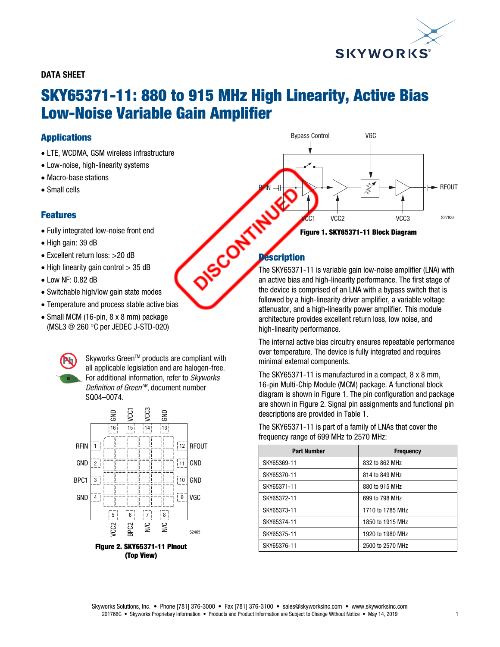

## DATA SHEET

# SKY65371-11: 880 to 915 MHz High Linearity, Active Bias Low-Noise Variable Gain Amplifier

## Applications

- LTE, WCDMA, GSM wireless infrastructure
- Low-noise, high-linearity systems
- Macro-base stations
- Small cells

## Features

- Fully integrated low-noise front end
- High gain: 39 dB
- Excellent return loss: >20 dB
- $\bullet$  High linearity gain control  $>$  35 dB
- Low NF: 0.82 dB
- Switchable high/low gain state modes
- Temperature and process stable active bias
- Small MCM (16-pin, 8 x 8 mm) package (MSL3 @ 260 °C per JEDEC J-STD-020)

Skyworks Green™ products are compliant with all applicable legislation and are halogen-free. For additional information, refer to Skyworks Definition of Green<sup>™</sup>, document number SQ04–0074.



(Top View)



## **Description**

The SKY65371-11 is variable gain low-noise amplifier (LNA) with an active bias and high-linearity performance. The first stage of the device is comprised of an LNA with a bypass switch that is followed by a high-linearity driver amplifier, a variable voltage attenuator, and a high-linearity power amplifier. This module architecture provides excellent return loss, low noise, and high-linearity performance.

The internal active bias circuitry ensures repeatable performance over temperature. The device is fully integrated and requires minimal external components.

The SKY65371-11 is manufactured in a compact, 8 x 8 mm, 16-pin Multi-Chip Module (MCM) package. A functional block diagram is shown in Figure 1. The pin configuration and package are shown in Figure 2. Signal pin assignments and functional pin descriptions are provided in Table 1.

The SKY65371-11 is part of a family of LNAs that cover the frequency range of 699 MHz to 2570 MHz:

| <b>Part Number</b> | <b>Frequency</b> |
|--------------------|------------------|
| SKY65369-11        | 832 to 862 MHz   |
| SKY65370-11        | 814 to 849 MHz   |
| SKY65371-11        | 880 to 915 MHz   |
| SKY65372-11        | 699 to 798 MHz   |
| SKY65373-11        | 1710 to 1785 MHz |
| SKY65374-11        | 1850 to 1915 MHz |
| SKY65375-11        | 1920 to 1980 MHz |
| SKY65376-11        | 2500 to 2570 MHz |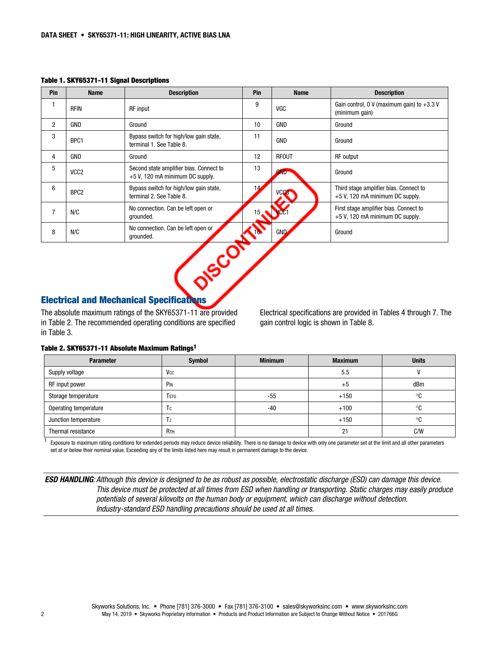#### Table 1. SKY65371-11 Signal Descriptions

| Pin            | <b>Name</b>      | <b>Description</b>                                                           | Pin             | <b>Name</b>  | <b>Description</b>                                                        |
|----------------|------------------|------------------------------------------------------------------------------|-----------------|--------------|---------------------------------------------------------------------------|
| 1              | <b>RFIN</b>      | RF input                                                                     | 9               | VGC          | Gain control, 0 V (maximum gain) to $+3.3$ V<br>(minimum gain)            |
| $\overline{2}$ | <b>GND</b>       | Ground                                                                       | 10              | <b>GND</b>   | Ground                                                                    |
| 3              | BPC1             | Bypass switch for high/low gain state,<br>terminal 1. See Table 8.           | 11              | <b>GND</b>   | Ground                                                                    |
| 4              | <b>GND</b>       | Ground                                                                       | 12              | <b>RFOUT</b> | <b>RF</b> output                                                          |
| 5              | VCC <sub>2</sub> | Second state amplifier bias. Connect to<br>$+5$ V, 120 mA minimum DC supply. | 13              | <b>GND</b>   | Ground                                                                    |
| 6              | BPC <sub>2</sub> | Bypass switch for high/low gain state,<br>terminal 2. See Table 8.           | 14              | <b>VCC3</b>  | Third stage amplifier bias. Connect to<br>+5 V, 120 mA minimum DC supply. |
| $\overline{7}$ | N/C              | No connection. Can be left open or<br>grounded.                              | 15 <sub>1</sub> |              | First stage amplifier bias. Connect to<br>+5 V, 120 mA minimum DC supply. |
| 8              | N/C              | No connection. Can be left open or<br>grounded.                              |                 | <b>GND</b>   | Ground                                                                    |
|                |                  | $\sim$ $60^\circ$<br><b>Electrical and Mechanical Specifications</b>         |                 |              |                                                                           |

## Electrical and Mechanical Specifications

The absolute maximum ratings of the SKY65371-11 are provided in Table 2. The recommended operating conditions are specified in Table 3.

Electrical specifications are provided in Tables 4 through 7. The gain control logic is shown in Table 8.

#### Table 2. SKY65371-11 Absolute Maximum Ratings1

| <b>Parameter</b>      | <b>Symbol</b>          | <b>Minimum</b> | <b>Maximum</b> | <b>Units</b> |
|-----------------------|------------------------|----------------|----------------|--------------|
| Supply voltage        | Vcc                    |                | 5.5            |              |
| RF input power        | P <sub>IN</sub>        |                | $+5$           | dBm          |
| Storage temperature   | Tstg                   | $-55$          | $+150$         | °C           |
| Operating temperature | Тc                     | -40            | $+100$         | ∘c           |
| Junction temperature  | .                      |                | $+150$         | ∘c           |
| Thermal resistance    | <b>R</b> <sub>TH</sub> |                | 21             | C/W          |

<sup>1</sup> Exposure to maximum rating conditions for extended periods may reduce device reliability. There is no damage to device with only one parameter set at the limit and all other parameters set at or below their nominal value. Exceeding any of the limits listed here may result in permanent damage to the device.

ESD HANDLING: Although this device is designed to be as robust as possible, electrostatic discharge (ESD) can damage this device. This device must be protected at all times from ESD when handling or transporting. Static charges may easily produce potentials of several kilovolts on the human body or equipment, which can discharge without detection. Industry-standard ESD handling precautions should be used at all times.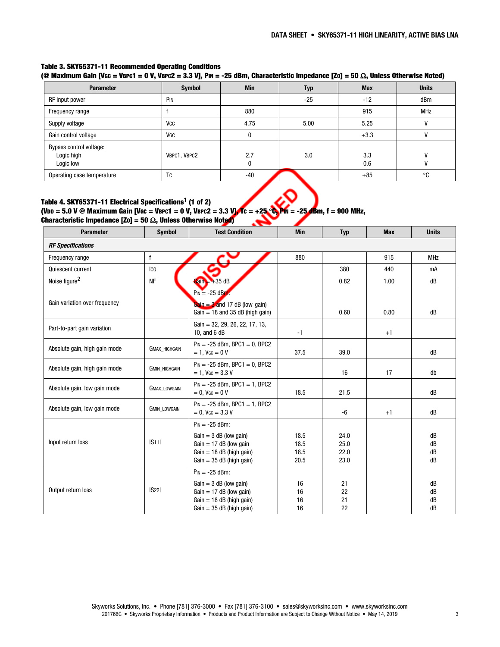## Table 3. SKY65371-11 Recommended Operating Conditions

(@ Maximum Gain [VGC = VBPC1 = 0 V, VBPC2 = 3.3 V], PIN = -25 dBm, Characteristic Impedance [Zo] = 50  $\Omega$ , Unless Otherwise Noted)

| <b>Parameter</b>                                   | <b>Symbol</b> | <b>Min</b> | Typ   | <b>Max</b> | <b>Units</b> |
|----------------------------------------------------|---------------|------------|-------|------------|--------------|
| RF input power                                     | PIN           |            | $-25$ | $-12$      | dBm          |
| Frequency range                                    |               | 880        |       | 915        | <b>MHz</b>   |
| Supply voltage                                     | VCC           | 4.75       | 5.00  | 5.25       |              |
| Gain control voltage                               | VGC           | 0          |       | $+3.3$     |              |
| Bypass control voltage:<br>Logic high<br>Logic low | VBPC1, VBPC2  | 2.7<br>n   | 3.0   | 3.3<br>0.6 |              |
| Operating case temperature                         | Tc            | $-40$      |       | $+85$      | °C           |

#### Table 4. SKY65371-11 Electrical Specifications<sup>1</sup> (1 of 2) (VDD = 5.0 V @ Maximum Gain [VGC = VBPC1 = 0 V, VBPC2 = 3.3 V], TC = +25 °C, PM = -25 68m, f = 900 MHz, Characteristic Impedance [Zo] = 50  $\Omega$ , Unless Otherwise Noted)

| <b>Parameter</b>              | <b>Symbol</b>        | <b>Test Condition</b>                                                                                                                    | <b>Min</b>                   | <b>Typ</b>                   | <b>Max</b> | <b>Units</b>         |
|-------------------------------|----------------------|------------------------------------------------------------------------------------------------------------------------------------------|------------------------------|------------------------------|------------|----------------------|
| <b>RF Specifications</b>      |                      |                                                                                                                                          |                              |                              |            |                      |
| Frequency range               | $\mathsf f$          |                                                                                                                                          | 880                          |                              | 915        | <b>MHz</b>           |
| Quiescent current             | Ico                  |                                                                                                                                          |                              | 380                          | 440        | mA                   |
| Noise figure <sup>2</sup>     | <b>NF</b>            | $Gain + 35 dB$                                                                                                                           |                              | 0.82                         | 1.00       | dB                   |
| Gain variation over frequency |                      | $P_{IN} = -25$ dBm:<br>Gain = $3$ and 17 dB (low gain)<br>$Gain = 18$ and 35 dB (high gain)                                              |                              | 0.60                         | 0.80       | dB                   |
| Part-to-part gain variation   |                      | Gain = $32, 29, 26, 22, 17, 13,$<br>10, and 6 dB                                                                                         | $-1$                         |                              | $+1$       |                      |
| Absolute gain, high gain mode | <b>GMAX HIGHGAIN</b> | $P_{IN} = -25$ dBm, BPC1 = 0, BPC2<br>$= 1$ , V <sub>GC</sub> = 0 V                                                                      | 37.5                         | 39.0                         |            | dB                   |
| Absolute gain, high gain mode | <b>GMIN HIGHGAIN</b> | $P_{IN} = -25$ dBm, BPC1 = 0, BPC2<br>$= 1.$ V <sub>GC</sub> $= 3.3$ V                                                                   |                              | 16                           | 17         | db                   |
| Absolute gain, low gain mode  | GMAX_LOWGAIN         | $P_{IN} = -25$ dBm, BPC1 = 1, BPC2<br>$= 0$ , V <sub>GC</sub> = 0 V                                                                      | 18.5                         | 21.5                         |            | dB                   |
| Absolute gain, low gain mode  | <b>GMIN LOWGAIN</b>  | $P_{IN} = -25$ dBm, BPC1 = 1, BPC2<br>$= 0.$ V <sub>GC</sub> $= 3.3$ V                                                                   |                              | -6                           | $+1$       | dB                   |
|                               |                      | $P_{IN} = -25$ dBm:                                                                                                                      |                              |                              |            |                      |
| Input return loss             | S11                  | $Gain = 3 dB (low gain)$<br>$Gain = 17 dB$ (low gain<br>$Gain = 18 dB$ (high gain)<br>$Gain = 35 dB$ (high gain)                         | 18.5<br>18.5<br>18.5<br>20.5 | 24.0<br>25.0<br>22.0<br>23.0 |            | dB<br>dB<br>dB<br>dB |
| Output return loss            | S22                  | $P_{IN} = -25$ dBm:<br>$Gain = 3 dB (low gain)$<br>$Gain = 17 dB$ (low gain)<br>$Gain = 18$ dB (high gain)<br>$Gain = 35 dB$ (high gain) | 16<br>16<br>16<br>16         | 21<br>22<br>21<br>22         |            | dB<br>dB<br>dB<br>dB |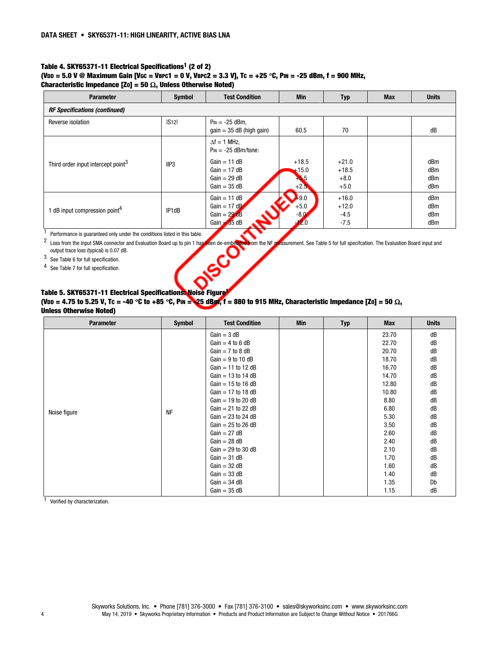#### Table 4. SKY65371-11 Electrical Specifications<sup>1</sup> (2 of 2) (VDD = 5.0 V @ Maximum Gain [VGC = VBPC1 = 0 V, VBPC2 = 3.3 V], Tc = +25 °C, PIN = -25 dBm, f = 900 MHz, Characteristic Impedance [Zo] = 50  $\Omega$ , Unless Otherwise Noted)

| <b>Parameter</b>                               | <b>Symbol</b> | <b>Test Condition</b>                             | <b>Min</b>    | <b>Typ</b>        | <b>Max</b> | <b>Units</b> |
|------------------------------------------------|---------------|---------------------------------------------------|---------------|-------------------|------------|--------------|
| <b>RF Specifications (continued)</b>           |               |                                                   |               |                   |            |              |
| Reverse isolation                              | S12           | $P_{IN} = -25$ dBm,<br>$gain = 35 dB$ (high gain) | 60.5          | 70                |            | dB           |
|                                                |               | $\Delta f = 1$ MHz,<br>$P_{IN} = -25$ dBm/tone:   |               |                   |            |              |
| Third order input intercept point <sup>3</sup> | IIP3          | $Gain = 11 dB$                                    | $+18.5$       | $+21.0$           |            | dBm          |
|                                                |               | $Gain = 17 dB$<br>$Gain = 29 dB$                  | $+15.0$       | $+18.5$<br>$+8.0$ |            | dBm<br>dBm   |
|                                                |               | $Gain = 35 dB$                                    | $+2.5$        | $+5.0$            |            | dBm          |
|                                                |               | $Gain = 11 dB$                                    | $+9.0$        | $+16.0$           |            | dBm          |
| 1 dB input compression point <sup>4</sup>      | IP1dB         | Gain = $17 \text{ dB}$                            | $+5.0$        | $+12.0$           |            | dBm          |
|                                                |               | $Gain = 29 dB$<br>$Gain = 35 dB$                  | $-8.0$<br>2.0 | $-4.5$<br>$-7.5$  |            | dBm<br>dBm   |
|                                                |               |                                                   |               |                   |            |              |

 $1$  Performance is guaranteed only under the conditions listed in this table.

<sup>2</sup> Loss from the input SMA connector and Evaluation Board up to pin 1 has been de-embedded from the NF measurement. See Table 5 for full specifcation. The Evaluation Board input and output trace loss (typical) is 0.07 dB. 3 See Table 6 for full specification.

4 See Table 7 for full specification.

### Table 5. SKY65371-11 Electrical Specifications: Noise Figure<sup>1</sup>

(VDD = 4.75 to 5.25 V, Tc = -40 °C to +85 °C, PIN = 25 dBm, f = 880 to 915 MHz, Characteristic Impedance [Zo] = 50  $\Omega$ , Unless Otherwise Noted)

| <b>Parameter</b> | <b>Symbol</b> | <b>Test Condition</b>  | Min | <b>Typ</b> | <b>Max</b> | <b>Units</b> |
|------------------|---------------|------------------------|-----|------------|------------|--------------|
|                  |               | $Gain = 3 dB$          |     |            | 23.70      | dB           |
|                  |               | $Gain = 4$ to 6 dB     |     |            | 22.70      | dB           |
|                  |               | $Gain = 7$ to 8 dB     |     |            | 20.70      | dB           |
|                  |               | $Gain = 9$ to 10 dB    |     |            | 18.70      | dB           |
|                  |               | $Gain = 11$ to 12 dB   |     |            | 16.70      | dB           |
|                  |               | $Gain = 13$ to 14 dB   |     |            | 14.70      | dB           |
|                  |               | Gain = $15$ to $16$ dB |     |            | 12.80      | dB           |
|                  |               | $Gain = 17$ to 18 dB   |     |            | 10.80      | dB           |
|                  |               | Gain = $19$ to 20 dB   |     |            | 8.80       | dB           |
| Noise figure     | <b>NF</b>     | $Gain = 21$ to 22 dB   |     |            | 6.80       | dB           |
|                  |               | $Gain = 23$ to 24 dB   |     |            | 5.30       | dB           |
|                  |               | $Gain = 25$ to 26 dB   |     |            | 3.50       | dB           |
|                  |               | $Gain = 27 dB$         |     |            | 2.60       | dB           |
|                  |               | $Gain = 28 dB$         |     |            | 2.40       | dB           |
|                  |               | $Gain = 29$ to 30 dB   |     |            | 2.10       | dB           |
|                  |               | $Gain = 31 dB$         |     |            | 1.70       | dB           |
|                  |               | $Gain = 32 dB$         |     |            | 1.60       | dB           |
|                  |               | $Gain = 33 dB$         |     |            | 1.40       | dB           |
|                  |               | $Gain = 34 dB$         |     |            | 1.35       | Db           |
|                  |               | $Gain = 35 dB$         |     |            | 1.15       | dB           |

1 Verified by characterization.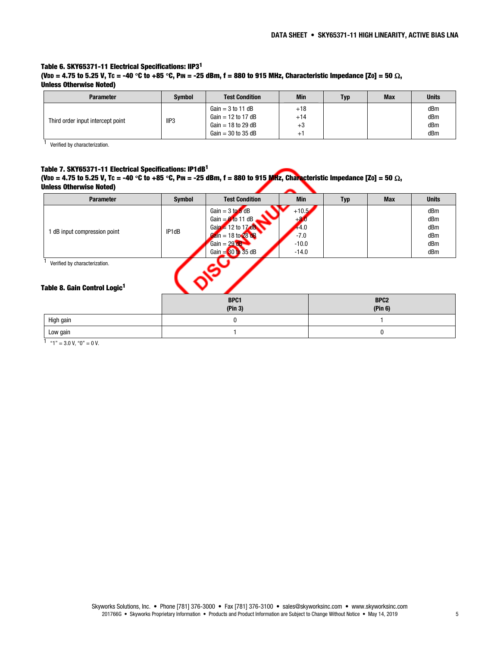#### Table 6. SKY65371-11 Electrical Specifications: IIP31 (VDD = 4.75 to 5.25 V, Tc = -40 °C to +85 °C, PIN = -25 dBm, f = 880 to 915 MHz, Characteristic Impedance [Zo] = 50  $\Omega$ , Unless Otherwise Noted)

| <b>Parameter</b>                         | <b>Symbol</b>        | <b>Test Condition</b> | <b>Min</b> | <b>Typ</b> | <b>Max</b> | <b>Units</b> |
|------------------------------------------|----------------------|-----------------------|------------|------------|------------|--------------|
|                                          |                      | $Gain = 3$ to 11 dB   | $+18$      |            |            | dBm          |
| IP3<br>Third order input intercept point |                      | Gain = 12 to 17 dB    | $+14$      |            |            | dBm          |
|                                          | Gain = $18$ to 29 dB | $+3$                  |            |            | dBm        |              |
|                                          |                      | $Gain = 30$ to 35 dB  | ∸          |            |            | dBm          |

1 Verified by characterization.

#### Table 7. SKY65371-11 Electrical Specifications: IP1dB1

(VDD = 4.75 to 5.25 V, Tc = -40 °C to +85 °C, PIN = -25 dBm, f = 880 to 915 MHz, Characteristic Impedance [Zo] = 50  $\Omega$ , Unless Otherwise Noted)

Low gain the contract of the contract of  $\sim$  1 contract of the contract of  $\sim$  0 contract of  $\sim$  0 contract of  $\sim$  0 contract of  $\sim$  0 contract of  $\sim$  0 contract of  $\sim$  0 contract of  $\sim$  0 contract of  $\sim$  0 contr

| <b>Parameter</b>                                                          | <b>Symbol</b> | <b>Test Condition</b>               | <b>Min</b> | <b>Typ</b> | <b>Max</b>       | <b>Units</b> |
|---------------------------------------------------------------------------|---------------|-------------------------------------|------------|------------|------------------|--------------|
|                                                                           |               | Gain = $3 \text{ to } 5 \text{ dB}$ | $+10.5$    |            |                  | dBm          |
| 1 dB input compression point                                              |               | Gain = $6$ to 11 dB                 | $+2$       |            |                  | dBm          |
|                                                                           | IP1dB         | $Gain = 12$ to 17 dB                | $+4.0$     |            |                  | dBm          |
|                                                                           |               | Gain = 18 to 28 dB                  | $-7.0$     |            |                  | dBm          |
|                                                                           |               | Gain = $29$ dB                      | $-10.0$    |            |                  | dBm          |
|                                                                           |               | Gain = $30$ to 35 dB                | $-14.0$    |            |                  | dBm          |
| Verified by characterization.<br>Table 8. Gain Control Logic <sup>1</sup> |               |                                     |            |            |                  |              |
|                                                                           |               | BPC1                                |            |            | BPC <sub>2</sub> |              |
|                                                                           |               | (Pin 3)                             |            |            | (Pin 6)          |              |
| High gain                                                                 |               | 0                                   |            |            |                  |              |
|                                                                           |               |                                     |            |            |                  |              |

1  $"1" = 3.0$  V,  $"0" = 0$  V.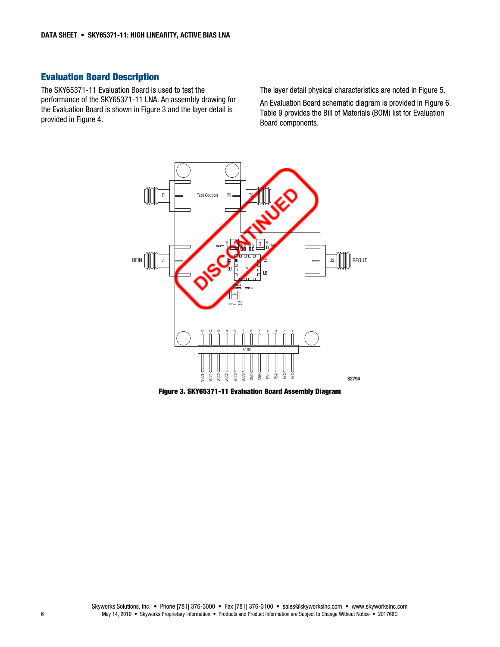## Evaluation Board Description

The SKY65371-11 Evaluation Board is used to test the performance of the SKY65371-11 LNA. An assembly drawing for the Evaluation Board is shown in Figure 3 and the layer detail is provided in Figure 4.

The layer detail physical characteristics are noted in Figure 5.

An Evaluation Board schematic diagram is provided in Figure 6. Table 9 provides the Bill of Materials (BOM) list for Evaluation Board components.



Figure 3. SKY65371-11 Evaluation Board Assembly Diagram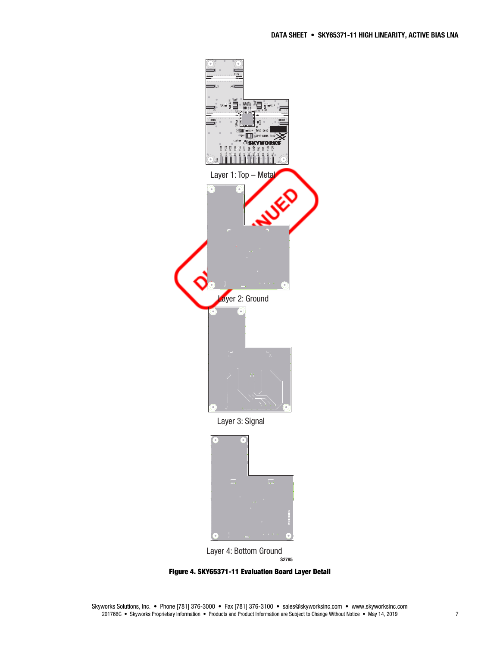

Figure 4. SKY65371-11 Evaluation Board Layer Detail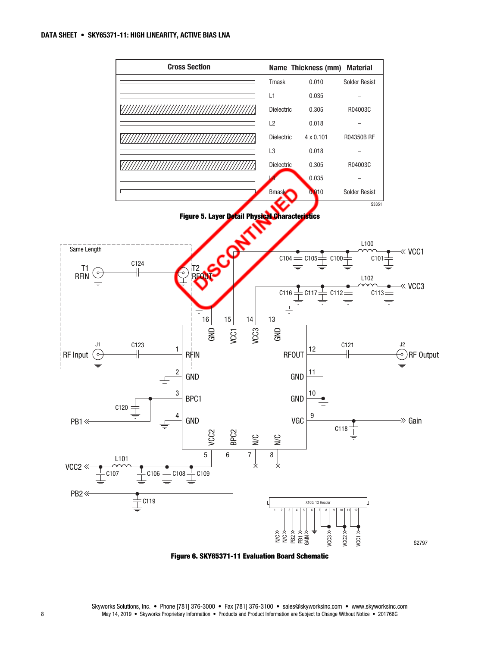

Figure 6. SKY65371-11 Evaluation Board Schematic

Skyworks Solutions, Inc. • Phone [781] 376-3000 • Fax [781] 376-3100 • sales@skyworksinc.com • www.skyworksinc.com 8 May 14, 2019 • Skyworks Proprietary Information • Products and Product Information are Subject to Change Without Notice • 201766G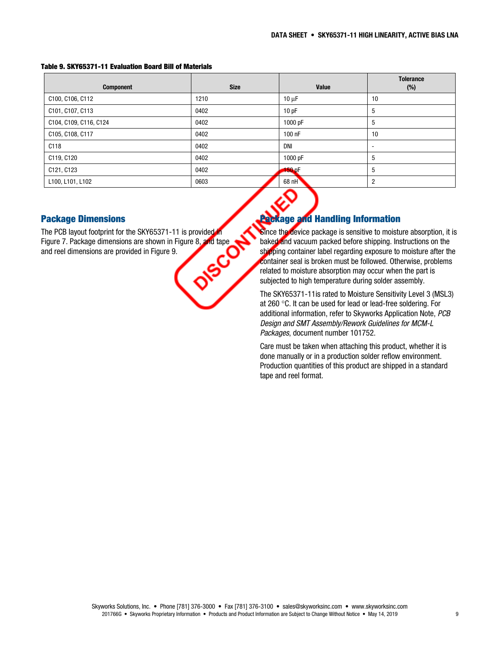| <b>Component</b>       | <b>Size</b> | Value      | <b>Tolerance</b><br>(%)  |
|------------------------|-------------|------------|--------------------------|
| C100, C106, C112       | 1210        | $10 \mu F$ | 10                       |
| C101, C107, C113       | 0402        | 10pF       | 5                        |
| C104, C109, C116, C124 | 0402        | 1000 pF    | 5                        |
| C105, C108, C117       | 0402        | 100 nF     | 10                       |
| C118                   | 0402        | <b>DNI</b> | $\overline{\phantom{a}}$ |
| C119, C120             | 0402        | 1000 pF    | 5                        |
| C121, C123             | 0402        | $-50pF$    | 5                        |
| L100, L101, L102       | 0603        | $68$ nH    | $\overline{2}$           |

#### Table 9. SKY65371-11 Evaluation Board Bill of Materials

## Package Dimensions

The PCB layout footprint for the SKY65371-11 is provided in<br>Figure 7. Package dimensions are shown in Figure 8, and tape<br>and reel dimensions are provided in Figure 9. Figure 7. Package dimensions are shown in Figure 8, and tape and reel dimensions are provided in Figure 9.

# age and Handling Information

Since the device package is sensitive to moisture absorption, it is baked and vacuum packed before shipping. Instructions on the shipping container label regarding exposure to moisture after the container seal is broken must be followed. Otherwise, problems related to moisture absorption may occur when the part is subjected to high temperature during solder assembly.

The SKY65371-11is rated to Moisture Sensitivity Level 3 (MSL3) at 260  $\degree$ C. It can be used for lead or lead-free soldering. For additional information, refer to Skyworks Application Note, PCB Design and SMT Assembly/Rework Guidelines for MCM-L Packages, document number 101752.

Care must be taken when attaching this product, whether it is done manually or in a production solder reflow environment. Production quantities of this product are shipped in a standard tape and reel format.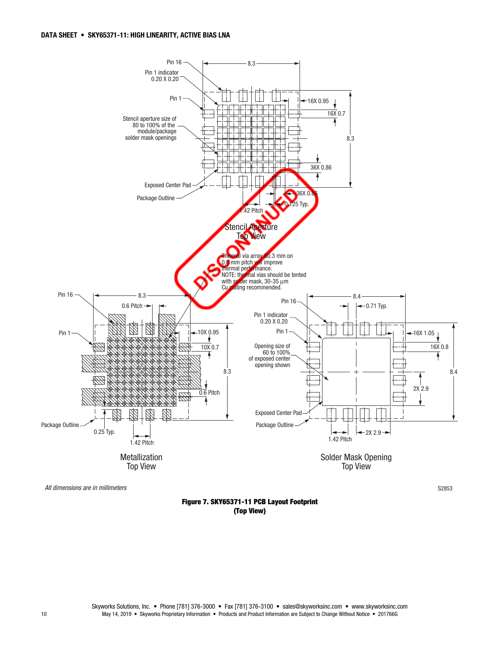

All dimensions are in millimeters S2853

Figure 7. SKY65371-11 PCB Layout Footprint (Top View)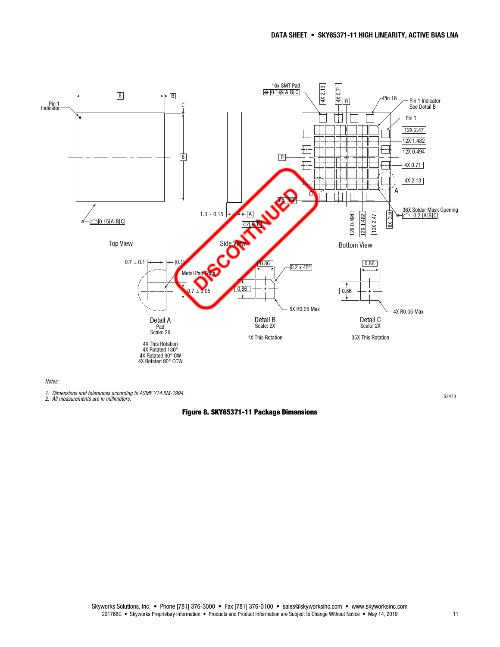

Notes:

1. Dimensions and tolerances according to ASME Y14.5M-1994. 2. All measurements are in millimeters. S2473

Figure 8. SKY65371-11 Package Dimensions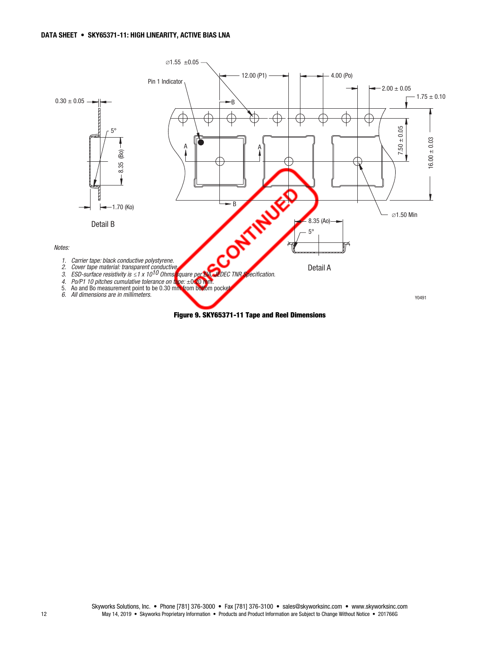

Figure 9. SKY65371-11 Tape and Reel Dimensions